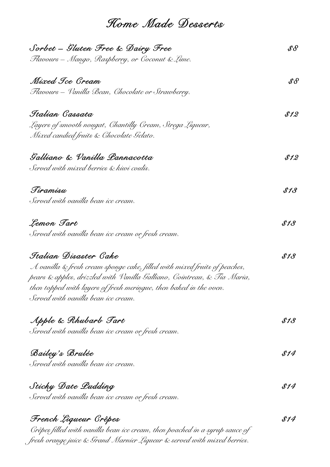*Home Made Desserts* 

| Sorbet – Gluten Free & Dairy Free                                           | $\mathscr{S} \mathscr{S}$ |
|-----------------------------------------------------------------------------|---------------------------|
| Flavours – Mango, Raspberry, or Coconut & Lime.                             |                           |
| Mixed Tce Gream                                                             | $\mathscr{S}\mathscr{S}$  |
| Flavours – Vanilla Bean, Chocolate or Strawberry.                           |                           |
| Italian Cassata                                                             | \$12                      |
| Layers of smooth nougat, Chantilly Cream, Strega Liqueur,                   |                           |
| Mixed candied fruits & Chocolate Gelato.                                    |                           |
| Galliano & Vanilla Lannacotta                                               | \$12                      |
| Served with mixed berries & kiwi coulis.                                    |                           |
| Tiramisu                                                                    | \$13                      |
| Served with vanilla bean ice cream.                                         |                           |
| Lemon Tart                                                                  | \$13                      |
| Served with vanilla bean ice cream or fresh cream.                          |                           |
| Italian Disaster Cake                                                       | \$13                      |
| A vanilla & fresh cream sponge cake, filled with mixed fruits of peaches,   |                           |
| pears & apples, drizzled with Vanilla Galliano, Cointreau, & Tia Maria,     |                           |
| then topped with layers of fresh meringue, then baked in the oven.          |                           |
| Served with vanilla bean ice cream.                                         |                           |
| Apple & Rhubarb Tart                                                        | \$13                      |
| Served with vanilla bean ice cream or fresh cream.                          |                           |
| Bailey's Brulée                                                             | \$14                      |
| Served with vanilla bean ice cream.                                         |                           |
| Sticky Date Ludding                                                         | \$14                      |
| Served with vanilla bean ice cream or fresh cream.                          |                           |
| French Liqueur Grêpes                                                       | \$14                      |
| Crêpes filled with vanilla bean ice cream, then poached in a syrup sauce of |                           |

*fresh orange juice & Grand Marnier Liqueur & served with mixed berries.*